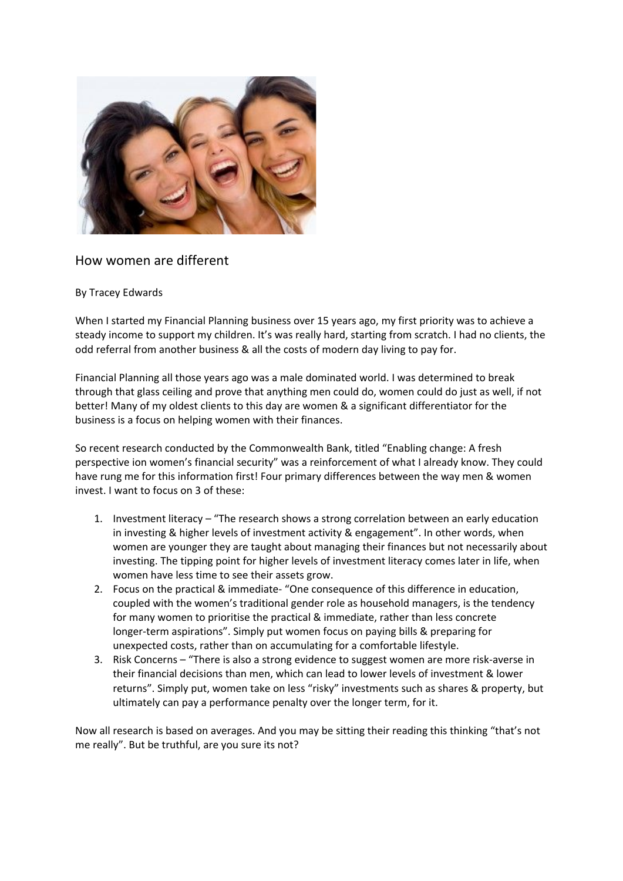

## How women are different

## By Tracey Edwards

When I started my Financial Planning business over 15 years ago, my first priority was to achieve a steady income to support my children. It's was really hard, starting from scratch. I had no clients, the odd referral from another business & all the costs of modern day living to pay for.

Financial Planning all those years ago was a male dominated world. I was determined to break through that glass ceiling and prove that anything men could do, women could do just as well, if not better! Many of my oldest clients to this day are women & a significant differentiator for the business is a focus on helping women with their finances.

So recent research conducted by the Commonwealth Bank, titled "Enabling change: A fresh perspective ion women's financial security" was a reinforcement of what I already know. They could have rung me for this information first! Four primary differences between the way men & women invest. I want to focus on 3 of these:

- 1. Investment literacy "The research shows a strong correlation between an early education in investing & higher levels of investment activity & engagement". In other words, when women are younger they are taught about managing their finances but not necessarily about investing. The tipping point for higher levels of investment literacy comes later in life, when women have less time to see their assets grow.
- 2. Focus on the practical & immediate- "One consequence of this difference in education, coupled with the women's traditional gender role as household managers, is the tendency for many women to prioritise the practical & immediate, rather than less concrete longer-term aspirations". Simply put women focus on paying bills & preparing for unexpected costs, rather than on accumulating for a comfortable lifestyle.
- 3. Risk Concerns "There is also a strong evidence to suggest women are more risk-averse in their financial decisions than men, which can lead to lower levels of investment & lower returns". Simply put, women take on less "risky" investments such as shares & property, but ultimately can pay a performance penalty over the longer term, for it.

Now all research is based on averages. And you may be sitting their reading this thinking "that's not me really". But be truthful, are you sure its not?